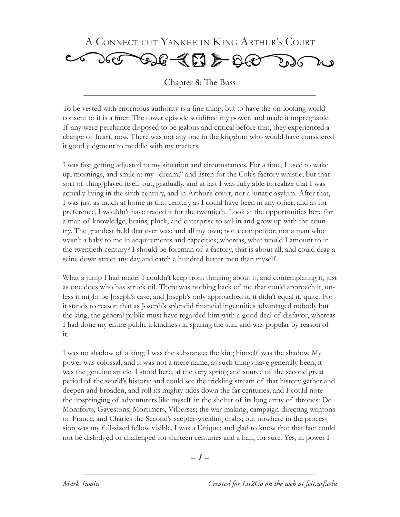

Chapter 8: The Boss

To be vested with enormous authority is a fine thing; but to have the on-looking world consent to it is a finer. The tower episode solidified my power, and made it impregnable. If any were perchance disposed to be jealous and critical before that, they experienced a change of heart, now. There was not any one in the kingdom who would have considered it good judgment to meddle with my matters.

I was fast getting adjusted to my situation and circumstances. For a time, I used to wake up, mornings, and smile at my "dream," and listen for the Colt's factory whistle; but that sort of thing played itself out, gradually, and at last I was fully able to realize that I was actually living in the sixth century, and in Arthur's court, not a lunatic asylum. After that, I was just as much at home in that century as I could have been in any other; and as for preference, I wouldn't have traded it for the twentieth. Look at the opportunities here for a man of knowledge, brains, pluck, and enterprise to sail in and grow up with the country. The grandest field that ever was; and all my own; not a competitor; not a man who wasn't a baby to me in acquirements and capacities; whereas, what would I amount to in the twentieth century? I should be foreman of a factory, that is about all; and could drag a seine down street any day and catch a hundred better men than myself.

What a jump I had made! I couldn't keep from thinking about it, and contemplating it, just as one does who has struck oil. There was nothing back of me that could approach it, unless it might be Joseph's case; and Joseph's only approached it, it didn't equal it, quite. For it stands to reason that as Joseph's splendid financial ingenuities advantaged nobody but the king, the general public must have regarded him with a good deal of disfavor, whereas I had done my entire public a kindness in sparing the sun, and was popular by reason of it.

I was no shadow of a king; I was the substance; the king himself was the shadow. My power was colossal; and it was not a mere name, as such things have generally been, it was the genuine article. I stood here, at the very spring and source of the second great period of the world's history; and could see the trickling stream of that history gather and deepen and broaden, and roll its mighty tides down the far centuries; and I could note the upspringing of adventurers like myself in the shelter of its long array of thrones: De Montforts, Gavestons, Mortimers, Villierses; the war-making, campaign-directing wantons of France, and Charles the Second's scepter-wielding drabs; but nowhere in the procession was my full-sized fellow visible. I was a Unique; and glad to know that that fact could not be dislodged or challenged for thirteen centuries and a half, for sure. Yes, in power I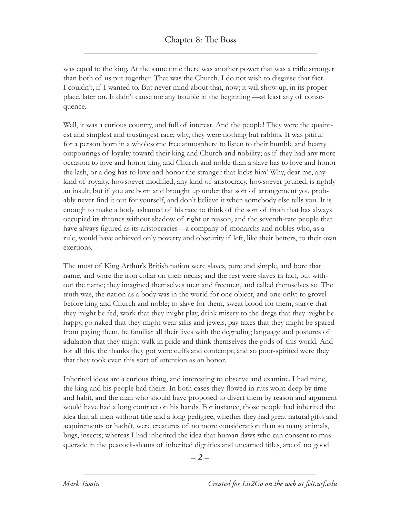was equal to the king. At the same time there was another power that was a trifle stronger than both of us put together. That was the Church. I do not wish to disguise that fact. I couldn't, if I wanted to. But never mind about that, now; it will show up, in its proper place, later on. It didn't cause me any trouble in the beginning —at least any of consequence.

Well, it was a curious country, and full of interest. And the people! They were the quaintest and simplest and trustingest race; why, they were nothing but rabbits. It was pitiful for a person born in a wholesome free atmosphere to listen to their humble and hearty outpourings of loyalty toward their king and Church and nobility; as if they had any more occasion to love and honor king and Church and noble than a slave has to love and honor the lash, or a dog has to love and honor the stranger that kicks him! Why, dear me, any kind of royalty, howsoever modified, any kind of aristocracy, howsoever pruned, is rightly an insult; but if you are born and brought up under that sort of arrangement you probably never find it out for yourself, and don't believe it when somebody else tells you. It is enough to make a body ashamed of his race to think of the sort of froth that has always occupied its thrones without shadow of right or reason, and the seventh-rate people that have always figured as its aristocracies—a company of monarchs and nobles who, as a rule, would have achieved only poverty and obscurity if left, like their betters, to their own exertions.

The most of King Arthur's British nation were slaves, pure and simple, and bore that name, and wore the iron collar on their necks; and the rest were slaves in fact, but without the name; they imagined themselves men and freemen, and called themselves so. The truth was, the nation as a body was in the world for one object, and one only: to grovel before king and Church and noble; to slave for them, sweat blood for them, starve that they might be fed, work that they might play, drink misery to the dregs that they might be happy, go naked that they might wear silks and jewels, pay taxes that they might be spared from paying them, be familiar all their lives with the degrading language and postures of adulation that they might walk in pride and think themselves the gods of this world. And for all this, the thanks they got were cuffs and contempt; and so poor-spirited were they that they took even this sort of attention as an honor.

Inherited ideas are a curious thing, and interesting to observe and examine. I had mine, the king and his people had theirs. In both cases they flowed in ruts worn deep by time and habit, and the man who should have proposed to divert them by reason and argument would have had a long contract on his hands. For instance, those people had inherited the idea that all men without title and a long pedigree, whether they had great natural gifts and acquirements or hadn't, were creatures of no more consideration than so many animals, bugs, insects; whereas I had inherited the idea that human daws who can consent to masquerade in the peacock-shams of inherited dignities and unearned titles, are of no good

*– –*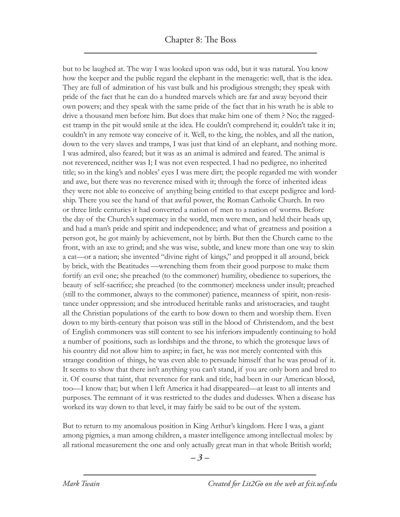but to be laughed at. The way I was looked upon was odd, but it was natural. You know how the keeper and the public regard the elephant in the menagerie: well, that is the idea. They are full of admiration of his vast bulk and his prodigious strength; they speak with pride of the fact that he can do a hundred marvels which are far and away beyond their own powers; and they speak with the same pride of the fact that in his wrath he is able to drive a thousand men before him. But does that make him one of them ? No; the raggedest tramp in the pit would smile at the idea. He couldn't comprehend it; couldn't take it in; couldn't in any remote way conceive of it. Well, to the king, the nobles, and all the nation, down to the very slaves and tramps, I was just that kind of an elephant, and nothing more. I was admired, also feared; but it was as an animal is admired and feared. The animal is not reverenced, neither was I; I was not even respected. I had no pedigree, no inherited title; so in the king's and nobles' eyes I was mere dirt; the people regarded me with wonder and awe, but there was no reverence mixed with it; through the force of inherited ideas they were not able to conceive of anything being entitled to that except pedigree and lordship. There you see the hand of that awful power, the Roman Catholic Church. In two or three little centuries it had converted a nation of men to a nation of worms. Before the day of the Church's supremacy in the world, men were men, and held their heads up, and had a man's pride and spirit and independence; and what of greatness and position a person got, he got mainly by achievement, not by birth. But then the Church came to the front, with an axe to grind; and she was wise, subtle, and knew more than one way to skin a cat—or a nation; she invented "divine right of kings," and propped it all around, brick by brick, with the Beatitudes —wrenching them from their good purpose to make them fortify an evil one; she preached (to the commoner) humility, obedience to superiors, the beauty of self-sacrifice; she preached (to the commoner) meekness under insult; preached (still to the commoner, always to the commoner) patience, meanness of spirit, non-resistance under oppression; and she introduced heritable ranks and aristocracies, and taught all the Christian populations of the earth to bow down to them and worship them. Even down to my birth-century that poison was still in the blood of Christendom, and the best of English commoners was still content to see his inferiors impudently continuing to hold a number of positions, such as lordships and the throne, to which the grotesque laws of his country did not allow him to aspire; in fact, he was not merely contented with this strange condition of things, he was even able to persuade himself that he was proud of it. It seems to show that there isn't anything you can't stand, if you are only born and bred to it. Of course that taint, that reverence for rank and title, had been in our American blood, too—I know that; but when I left America it had disappeared—at least to all intents and purposes. The remnant of it was restricted to the dudes and dudesses. When a disease has worked its way down to that level, it may fairly be said to be out of the system.

But to return to my anomalous position in King Arthur's kingdom. Here I was, a giant among pigmies, a man among children, a master intelligence among intellectual moles: by all rational measurement the one and only actually great man in that whole British world;

*– –*